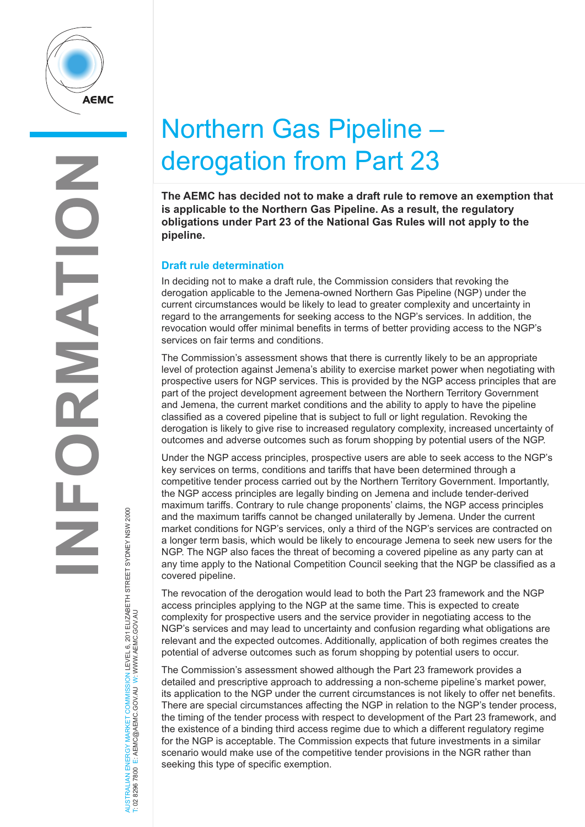

# Northern Gas Pipeline – derogation from Part 23

**The AEMC has decided not to make a draft rule to remove an exemption that is applicable to the Northern Gas Pipeline. As a result, the regulatory obligations under Part 23 of the National Gas Rules will not apply to the pipeline.** 

## **Draft rule determination**

In deciding not to make a draft rule, the Commission considers that revoking the derogation applicable to the Jemena-owned Northern Gas Pipeline (NGP) under the current circumstances would be likely to lead to greater complexity and uncertainty in regard to the arrangements for seeking access to the NGP's services. In addition, the revocation would offer minimal benefits in terms of better providing access to the NGP's services on fair terms and conditions.

The Commission's assessment shows that there is currently likely to be an appropriate level of protection against Jemena's ability to exercise market power when negotiating with prospective users for NGP services. This is provided by the NGP access principles that are part of the project development agreement between the Northern Territory Government and Jemena, the current market conditions and the ability to apply to have the pipeline classified as a covered pipeline that is subject to full or light regulation. Revoking the derogation is likely to give rise to increased regulatory complexity, increased uncertainty of outcomes and adverse outcomes such as forum shopping by potential users of the NGP.

Under the NGP access principles, prospective users are able to seek access to the NGP's key services on terms, conditions and tariffs that have been determined through a competitive tender process carried out by the Northern Territory Government. Importantly, the NGP access principles are legally binding on Jemena and include tender-derived maximum tariffs. Contrary to rule change proponents' claims, the NGP access principles and the maximum tariffs cannot be changed unilaterally by Jemena. Under the current market conditions for NGP's services, only a third of the NGP's services are contracted on a longer term basis, which would be likely to encourage Jemena to seek new users for the NGP. The NGP also faces the threat of becoming a covered pipeline as any party can at any time apply to the National Competition Council seeking that the NGP be classified as a covered pipeline.

The revocation of the derogation would lead to both the Part 23 framework and the NGP access principles applying to the NGP at the same time. This is expected to create complexity for prospective users and the service provider in negotiating access to the NGP's services and may lead to uncertainty and confusion regarding what obligations are relevant and the expected outcomes. Additionally, application of both regimes creates the potential of adverse outcomes such as forum shopping by potential users to occur.

The Commission's assessment showed although the Part 23 framework provides a detailed and prescriptive approach to addressing a non-scheme pipeline's market power, its application to the NGP under the current circumstances is not likely to offer net benefits. There are special circumstances affecting the NGP in relation to the NGP's tender process, the timing of the tender process with respect to development of the Part 23 framework, and the existence of a binding third access regime due to which a different regulatory regime for the NGP is acceptable. The Commission expects that future investments in a similar scenario would make use of the competitive tender provisions in the NGR rather than seeking this type of specific exemption.

AUSTRALIAN ENERGY MARKET COMMISSION LEVEL 6, 201 ELIZABETH STREET SYDNEY NSW 2000<br>T: 02 8296 7800 E: AEMC@AEMC.GOVJAU W: WWW.AEMC.GOVJAU AUSTRALIAN ENERGY MARKET COMMISSION LEVEL 6, 201 ELIZABETH STREET SYDNEY NSW 2000 T: 02 8296 7800 E: AEMC@AEMC.GOV.AU W: WWW.AEMC.GOV.AU